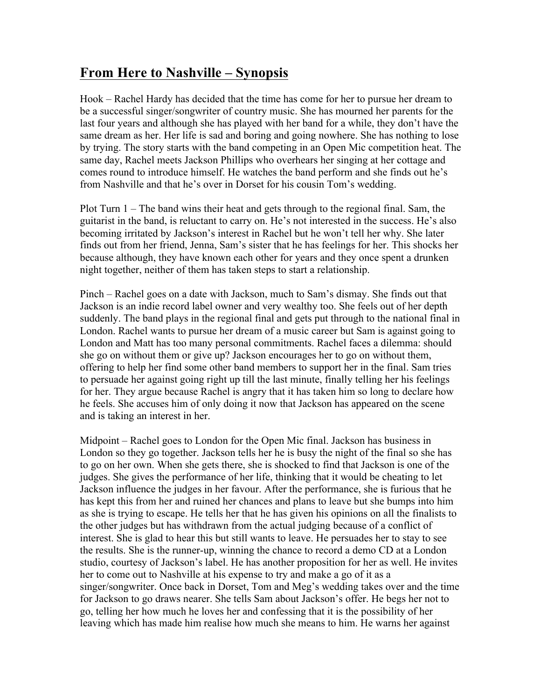## **From Here to Nashville – Synopsis**

Hook – Rachel Hardy has decided that the time has come for her to pursue her dream to be a successful singer/songwriter of country music. She has mourned her parents for the last four years and although she has played with her band for a while, they don't have the same dream as her. Her life is sad and boring and going nowhere. She has nothing to lose by trying. The story starts with the band competing in an Open Mic competition heat. The same day, Rachel meets Jackson Phillips who overhears her singing at her cottage and comes round to introduce himself. He watches the band perform and she finds out he's from Nashville and that he's over in Dorset for his cousin Tom's wedding.

Plot Turn 1 – The band wins their heat and gets through to the regional final. Sam, the guitarist in the band, is reluctant to carry on. He's not interested in the success. He's also becoming irritated by Jackson's interest in Rachel but he won't tell her why. She later finds out from her friend, Jenna, Sam's sister that he has feelings for her. This shocks her because although, they have known each other for years and they once spent a drunken night together, neither of them has taken steps to start a relationship.

Pinch – Rachel goes on a date with Jackson, much to Sam's dismay. She finds out that Jackson is an indie record label owner and very wealthy too. She feels out of her depth suddenly. The band plays in the regional final and gets put through to the national final in London. Rachel wants to pursue her dream of a music career but Sam is against going to London and Matt has too many personal commitments. Rachel faces a dilemma: should she go on without them or give up? Jackson encourages her to go on without them, offering to help her find some other band members to support her in the final. Sam tries to persuade her against going right up till the last minute, finally telling her his feelings for her. They argue because Rachel is angry that it has taken him so long to declare how he feels. She accuses him of only doing it now that Jackson has appeared on the scene and is taking an interest in her.

Midpoint – Rachel goes to London for the Open Mic final. Jackson has business in London so they go together. Jackson tells her he is busy the night of the final so she has to go on her own. When she gets there, she is shocked to find that Jackson is one of the judges. She gives the performance of her life, thinking that it would be cheating to let Jackson influence the judges in her favour. After the performance, she is furious that he has kept this from her and ruined her chances and plans to leave but she bumps into him as she is trying to escape. He tells her that he has given his opinions on all the finalists to the other judges but has withdrawn from the actual judging because of a conflict of interest. She is glad to hear this but still wants to leave. He persuades her to stay to see the results. She is the runner-up, winning the chance to record a demo CD at a London studio, courtesy of Jackson's label. He has another proposition for her as well. He invites her to come out to Nashville at his expense to try and make a go of it as a singer/songwriter. Once back in Dorset, Tom and Meg's wedding takes over and the time for Jackson to go draws nearer. She tells Sam about Jackson's offer. He begs her not to go, telling her how much he loves her and confessing that it is the possibility of her leaving which has made him realise how much she means to him. He warns her against